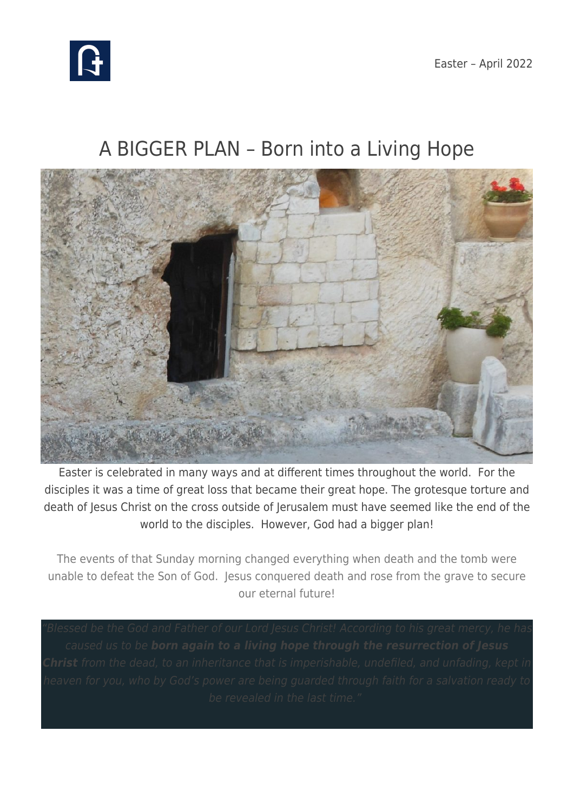

## A BIGGER PLAN – Born into a Living Hope



Easter is celebrated in many ways and at different times throughout the world. For the disciples it was a time of great loss that became their great hope. The grotesque torture and death of Jesus Christ on the cross outside of Jerusalem must have seemed like the end of the world to the disciples. However, God had a bigger plan!

The events of that Sunday morning changed everything when death and the tomb were unable to defeat the Son of God. Jesus conquered death and rose from the grave to secure our eternal future!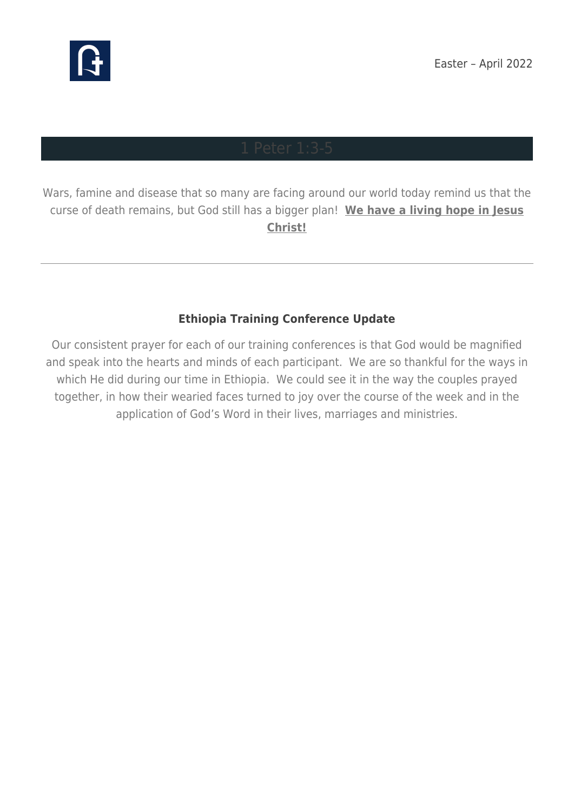

Wars, famine and disease that so many are facing around our world today remind us that the curse of death remains, but God still has a bigger plan! **We have a living hope in Jesus Christ!**

## **Ethiopia Training Conference Update**

Our consistent prayer for each of our training conferences is that God would be magnified and speak into the hearts and minds of each participant. We are so thankful for the ways in which He did during our time in Ethiopia. We could see it in the way the couples prayed together, in how their wearied faces turned to joy over the course of the week and in the application of God's Word in their lives, marriages and ministries.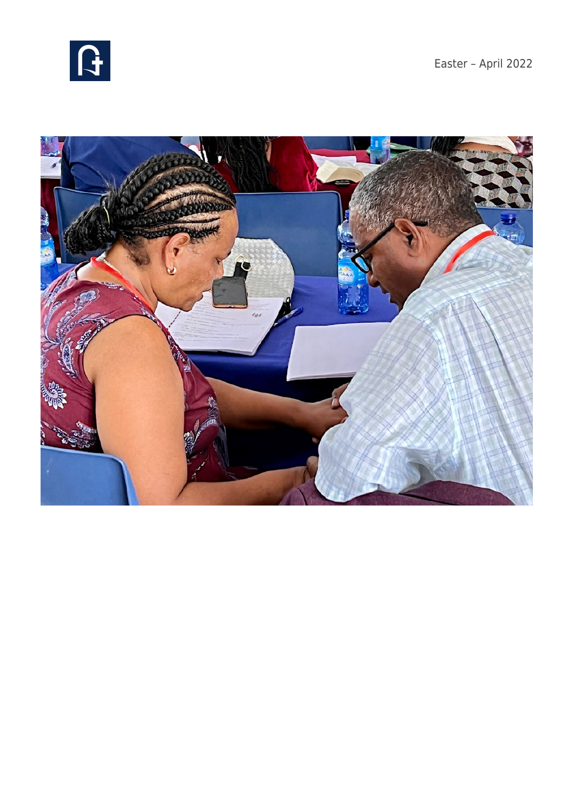

Easter – April 2022

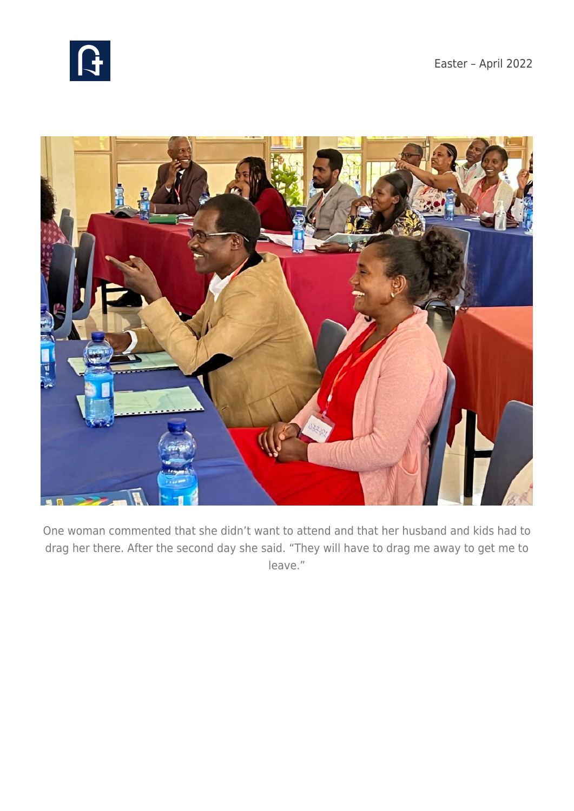

Easter – April 2022



One woman commented that she didn't want to attend and that her husband and kids had to drag her there. After the second day she said. "They will have to drag me away to get me to leave."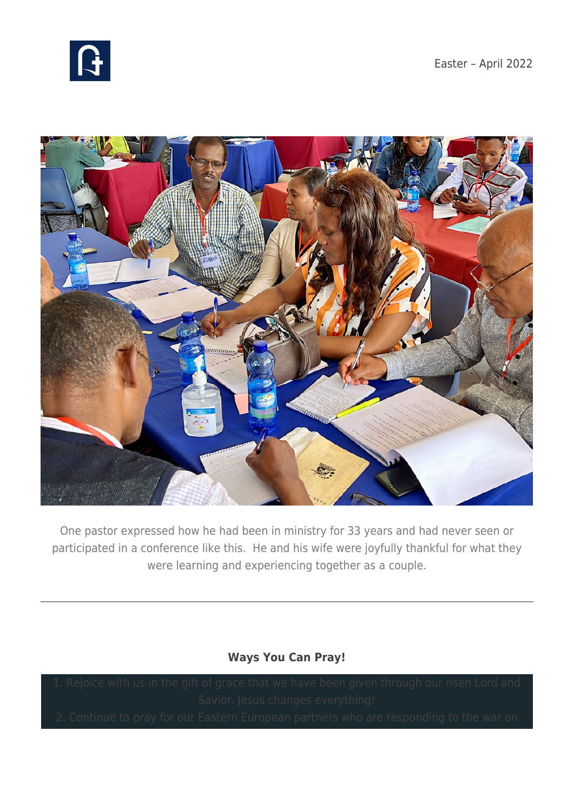



One pastor expressed how he had been in ministry for 33 years and had never seen or participated in a conference like this. He and his wife were joyfully thankful for what they were learning and experiencing together as a couple.

## **Ways You Can Pray!**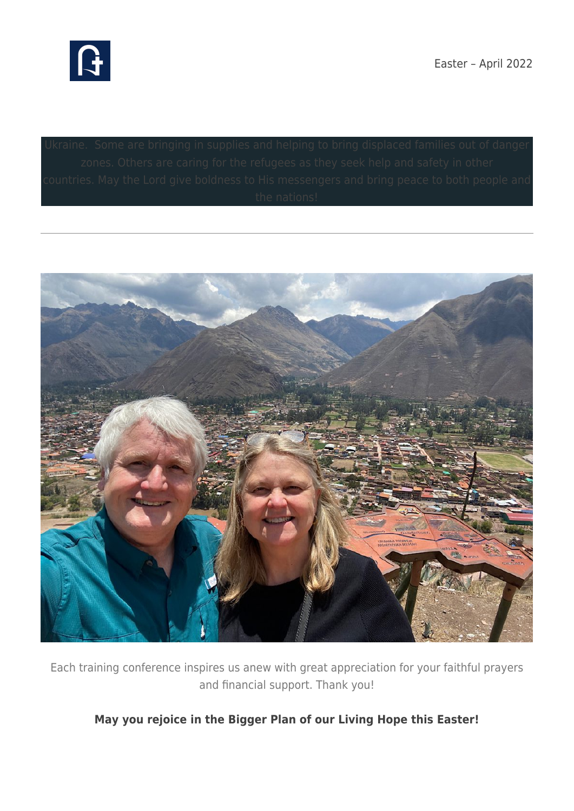

Easter – April 2022



Each training conference inspires us anew with great appreciation for your faithful prayers and financial support. Thank you!

**May you rejoice in the Bigger Plan of our Living Hope this Easter!**